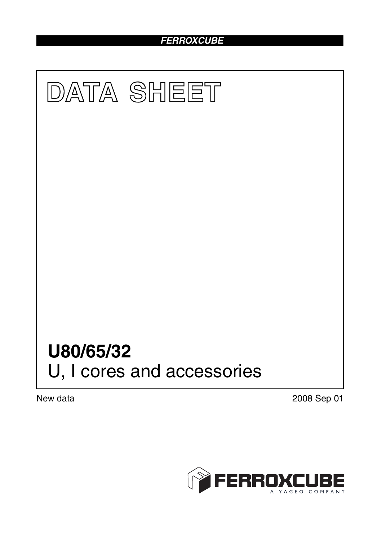## *FERROXCUBE*



New data 2008 Sep 01

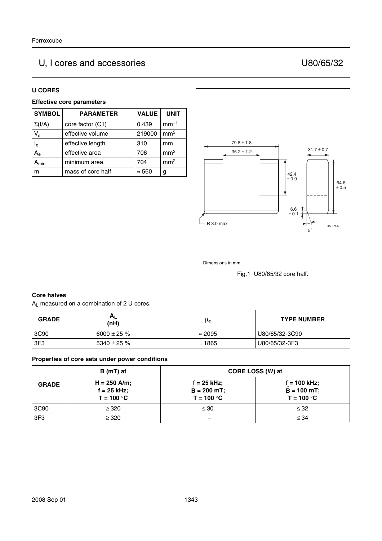# U, I cores and accessories U80/65/32

#### **U CORES**

### **Effective core parameters**

| <b>SYMBOL</b>             | <b>PARAMETER</b>  | <b>VALUE</b>  | <b>UNIT</b>     |
|---------------------------|-------------------|---------------|-----------------|
| $\Sigma(I/A)$             | core factor (C1)  | 0.439         | $mm-1$          |
| $V_{e}$                   | effective volume  | 219000        | mm <sup>3</sup> |
| $I_e$                     | effective length  | 310           | mm              |
| $A_{\rm e}$               | effective area    | 706           | mm <sup>2</sup> |
| $\mathbf{A}_{\text{min}}$ | minimum area      | 704           | mm <sup>2</sup> |
| m                         | mass of core half | $\approx$ 560 | g               |



#### **Core halves**

AL measured on a combination of 2 U cores.

| <b>GRADE</b> | $H_{L}$<br>(nH) | μe             | <b>TYPE NUMBER</b> |
|--------------|-----------------|----------------|--------------------|
| 3C90         | 6000 ± 25 $%$   | $\approx$ 2095 | U80/65/32-3C90     |
| 3F3          | 5340 $\pm$ 25 % | $\approx$ 1865 | U80/65/32-3F3      |

#### **Properties of core sets under power conditions**

| <b>GRADE</b>    | $B(mT)$ at                                      |                                                 | CORE LOSS (W) at                                |
|-----------------|-------------------------------------------------|-------------------------------------------------|-------------------------------------------------|
|                 | $H = 250$ A/m;<br>$f = 25$ kHz;<br>$T = 100 °C$ | $f = 25$ kHz;<br>$B = 200 mT$ ;<br>$T = 100 °C$ | $f = 100$ kHz;<br>$B = 100$ mT;<br>$T = 100 °C$ |
| 3C90            | $\geq$ 320                                      | $\leq 30$                                       | $\leq$ 32                                       |
| 3F <sub>3</sub> | $\geq$ 320                                      |                                                 | $\leq 34$                                       |